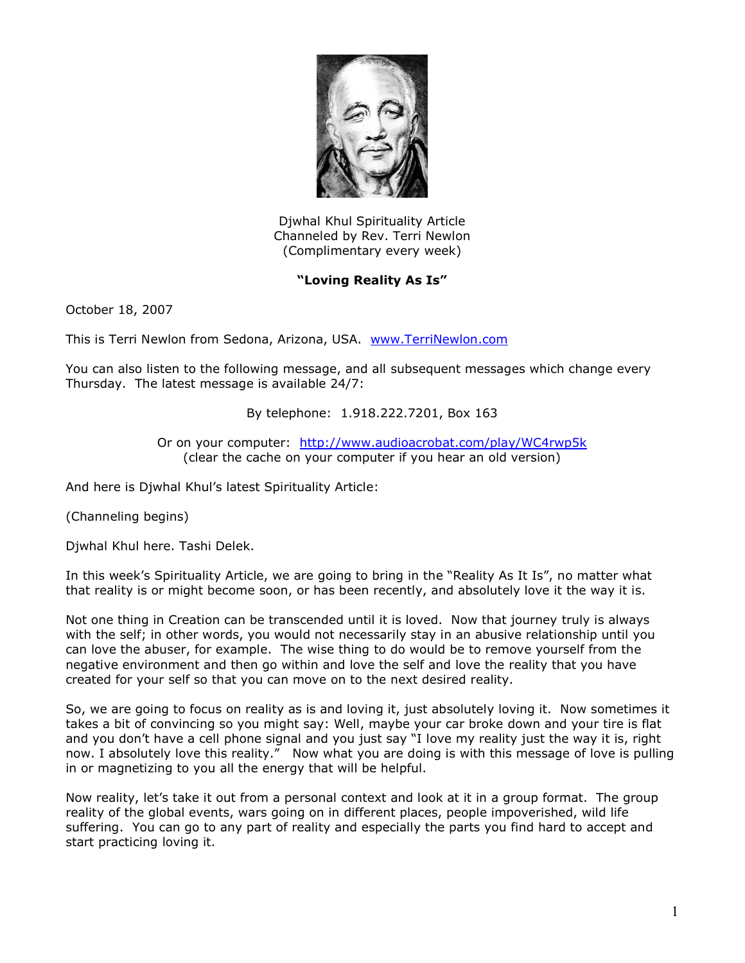

Djwhal Khul Spirituality Article Channeled by Rev. Terri Newlon (Complimentary every week)

## **"Loving Reality As Is"**

October 18, 2007

This is Terri Newlon from Sedona, Arizona, USA. [www.TerriNewlon.com](http://www.terrinewlon.com/)

You can also listen to the following message, and all subsequent messages which change every Thursday. The latest message is available 24/7:

## By telephone: 1.918.222.7201, Box 163

Or on your computer: <http://www.audioacrobat.com/play/WC4rwp5k> (clear the cache on your computer if you hear an old version)

And here is Djwhal Khul's latest Spirituality Article:

(Channeling begins)

Djwhal Khul here. Tashi Delek.

In this week's Spirituality Article, we are going to bring in the "Reality As It Is", no matter what that reality is or might become soon, or has been recently, and absolutely love it the way it is.

Not one thing in Creation can be transcended until it is loved. Now that journey truly is always with the self; in other words, you would not necessarily stay in an abusive relationship until you can love the abuser, for example. The wise thing to do would be to remove yourself from the negative environment and then go within and love the self and love the reality that you have created for your self so that you can move on to the next desired reality.

So, we are going to focus on reality as is and loving it, just absolutely loving it. Now sometimes it takes a bit of convincing so you might say: Well, maybe your car broke down and your tire is flat and you don't have a cell phone signal and you just say "I love my reality just the way it is, right now. I absolutely love this reality." Now what you are doing is with this message of love is pulling in or magnetizing to you all the energy that will be helpful.

Now reality, let's take it out from a personal context and look at it in a group format. The group reality of the global events, wars going on in different places, people impoverished, wild life suffering. You can go to any part of reality and especially the parts you find hard to accept and start practicing loving it.